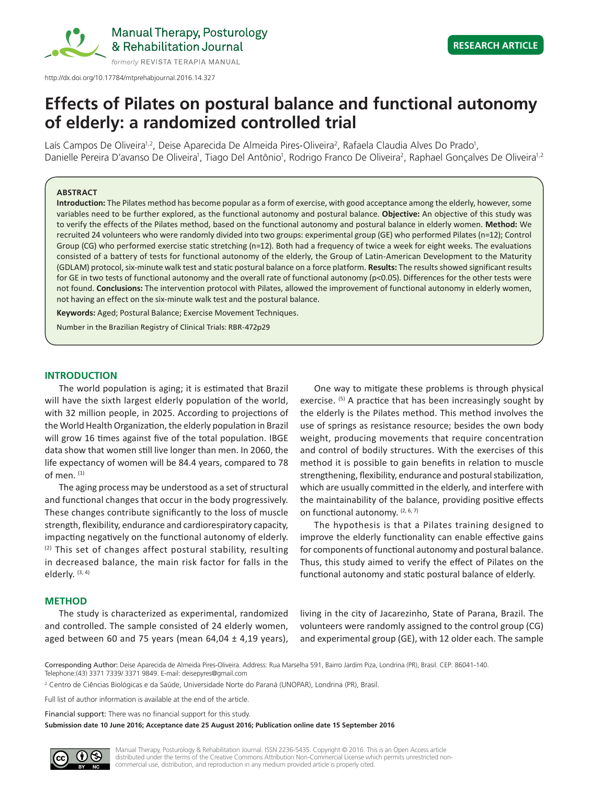

## **RESEARCH ARTICLE**

# **Effects of Pilates on postural balance and functional autonomy of elderly: a randomized controlled trial**

Laís Campos De Oliveira<sup>1,2</sup>, Deise Aparecida De Almeida Pires-Oliveira<sup>2</sup>, Rafaela Claudia Alves Do Prado<sup>1</sup>, Danielle Pereira D'avanso De Oliveira<sup>1</sup>, Tiago Del Antônio<sup>1</sup>, Rodrigo Franco De Oliveira<sup>2</sup>, Raphael Gonçalves De Oliveira<sup>1,2</sup>

#### **ABSTRACT**

**Introduction:** The Pilates method has become popular as a form of exercise, with good acceptance among the elderly, however, some variables need to be further explored, as the functional autonomy and postural balance. **Objective:** An objective of this study was to verify the effects of the Pilates method, based on the functional autonomy and postural balance in elderly women. **Method:** We recruited 24 volunteers who were randomly divided into two groups: experimental group (GE) who performed Pilates (n=12); Control Group (CG) who performed exercise static stretching (n=12). Both had a frequency of twice a week for eight weeks. The evaluations consisted of a battery of tests for functional autonomy of the elderly, the Group of Latin-American Development to the Maturity (GDLAM) protocol, six-minute walk test and static postural balance on a force platform. **Results:** The results showed significant results for GE in two tests of functional autonomy and the overall rate of functional autonomy (p<0.05). Differences for the other tests were not found. **Conclusions:** The intervention protocol with Pilates, allowed the improvement of functional autonomy in elderly women, not having an effect on the six-minute walk test and the postural balance.

**Keywords:** Aged; Postural Balance; Exercise Movement Techniques.

Number in the Brazilian Registry of Clinical Trials: RBR-472p29

#### **INTRODUCTION**

The world population is aging; it is estimated that Brazil will have the sixth largest elderly population of the world, with 32 million people, in 2025. According to projections of the World Health Organization, the elderly population in Brazil will grow 16 times against five of the total population. IBGE data show that women still live longer than men. In 2060, the life expectancy of women will be 84.4 years, compared to 78 of men.  $(1)$ 

The aging process may be understood as a set of structural and functional changes that occur in the body progressively. These changes contribute significantly to the loss of muscle strength, flexibility, endurance and cardiorespiratory capacity, impacting negatively on the functional autonomy of elderly. (2) This set of changes affect postural stability, resulting in decreased balance, the main risk factor for falls in the elderly. (3, 4)

One way to mitigate these problems is through physical exercise. <sup>(5)</sup> A practice that has been increasingly sought by the elderly is the Pilates method. This method involves the use of springs as resistance resource; besides the own body weight, producing movements that require concentration and control of bodily structures. With the exercises of this method it is possible to gain benefits in relation to muscle strengthening, flexibility, endurance and postural stabilization, which are usually committed in the elderly, and interfere with the maintainability of the balance, providing positive effects on functional autonomy. (2, 6, 7)

The hypothesis is that a Pilates training designed to improve the elderly functionality can enable effective gains for components of functional autonomy and postural balance. Thus, this study aimed to verify the effect of Pilates on the functional autonomy and static postural balance of elderly.

#### **METHOD**

The study is characterized as experimental, randomized and controlled. The sample consisted of 24 elderly women, aged between 60 and 75 years (mean  $64,04 \pm 4,19$  years), living in the city of Jacarezinho, State of Parana, Brazil. The volunteers were randomly assigned to the control group (CG) and experimental group (GE), with 12 older each. The sample

Corresponding Author: Deise Aparecida de Almeida Pires-Oliveira. Address: Rua Marselha 591, Bairro Jardim Piza, Londrina (PR), Brasil. CEP: 86041-140. Telephone:(43) 3371 7339/ 3371 9849. E-mail: deisepyres@gmail.com

2 Centro de Ciências Biológicas e da Saúde, Universidade Norte do Paraná (UNOPAR), Londrina (PR), Brasil.

Full list of author information is available at the end of the article.

Financial support: There was no financial support for this study.

**Submission date 10 June 2016; Acceptance date 25 August 2016; Publication online date 15 September 2016**

Manual Therapy, Posturology & Rehabilitation Journal. ISSN 2236-5435. Copyright © 2016. This is an Open Access article distributed under the terms of the Creative Commons Attribution Non-Commercial License which permits unrestricted noncommercial use, distribution, and reproduction in any medium provided article is properly cited.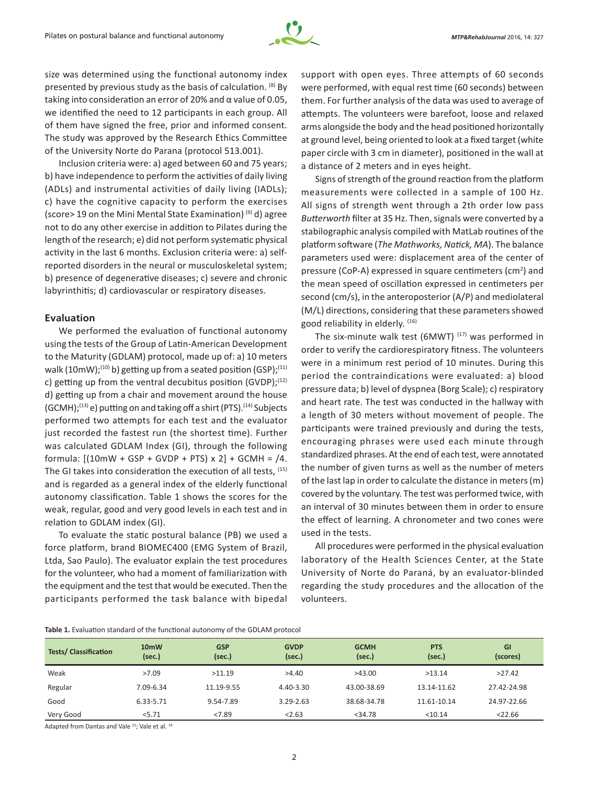

size was determined using the functional autonomy index presented by previous study as the basis of calculation. (8) By taking into consideration an error of 20% and α value of 0.05, we identified the need to 12 participants in each group. All of them have signed the free, prior and informed consent. The study was approved by the Research Ethics Committee of the University Norte do Parana (protocol 513.001).

Inclusion criteria were: a) aged between 60 and 75 years; b) have independence to perform the activities of daily living (ADLs) and instrumental activities of daily living (IADLs); c) have the cognitive capacity to perform the exercises (score> 19 on the Mini Mental State Examination) (9) d) agree not to do any other exercise in addition to Pilates during the length of the research; e) did not perform systematic physical activity in the last 6 months. Exclusion criteria were: a) selfreported disorders in the neural or musculoskeletal system; b) presence of degenerative diseases; c) severe and chronic labyrinthitis; d) cardiovascular or respiratory diseases.

#### **Evaluation**

We performed the evaluation of functional autonomy using the tests of the Group of Latin-American Development to the Maturity (GDLAM) protocol, made up of: a) 10 meters walk (10mW);<sup>(10)</sup> b) getting up from a seated position (GSP);<sup>(11)</sup> c) getting up from the ventral decubitus position (GVDP); $(12)$ d) getting up from a chair and movement around the house  $(GCMH):(13)$  e) putting on and taking off a shirt (PTS).<sup>(14)</sup> Subjects performed two attempts for each test and the evaluator just recorded the fastest run (the shortest time). Further was calculated GDLAM Index (GI), through the following formula:  $[(10mW + GSP + GVDP + PTS) \times 2] + GCMH = /4.$ The GI takes into consideration the execution of all tests, <sup>(15)</sup> and is regarded as a general index of the elderly functional autonomy classification. Table 1 shows the scores for the weak, regular, good and very good levels in each test and in relation to GDLAM index (GI).

To evaluate the static postural balance (PB) we used a force platform, brand BIOMEC400 (EMG System of Brazil, Ltda, Sao Paulo). The evaluator explain the test procedures for the volunteer, who had a moment of familiarization with the equipment and the test that would be executed. Then the participants performed the task balance with bipedal support with open eyes. Three attempts of 60 seconds were performed, with equal rest time (60 seconds) between them. For further analysis of the data was used to average of attempts. The volunteers were barefoot, loose and relaxed arms alongside the body and the head positioned horizontally at ground level, being oriented to look at a fixed target (white paper circle with 3 cm in diameter), positioned in the wall at a distance of 2 meters and in eyes height.

Signs of strength of the ground reaction from the platform measurements were collected in a sample of 100 Hz. All signs of strength went through a 2th order low pass *Butterworth* filter at 35 Hz. Then, signals were converted by a stabilographic analysis compiled with MatLab routines of the platform software (*The Mathworks, Natick, MA*). The balance parameters used were: displacement area of the center of pressure (CoP-A) expressed in square centimeters (cm<sup>2</sup>) and the mean speed of oscillation expressed in centimeters per second (cm/s), in the anteroposterior (A/P) and mediolateral (M/L) directions, considering that these parameters showed good reliability in elderly. (16)

The six-minute walk test (6MWT)  $(17)$  was performed in order to verify the cardiorespiratory fitness. The volunteers were in a minimum rest period of 10 minutes. During this period the contraindications were evaluated: a) blood pressure data; b) level of dyspnea (Borg Scale); c) respiratory and heart rate. The test was conducted in the hallway with a length of 30 meters without movement of people. The participants were trained previously and during the tests, encouraging phrases were used each minute through standardized phrases. At the end of each test, were annotated the number of given turns as well as the number of meters of the last lap in order to calculate the distance in meters (m) covered by the voluntary. The test was performed twice, with an interval of 30 minutes between them in order to ensure the effect of learning. A chronometer and two cones were used in the tests.

All procedures were performed in the physical evaluation laboratory of the Health Sciences Center, at the State University of Norte do Paraná, by an evaluator-blinded regarding the study procedures and the allocation of the volunteers.

| Table 1. Evaluation standard of the functional autonomy of the GDLAM protocol |  |  |  |
|-------------------------------------------------------------------------------|--|--|--|
|-------------------------------------------------------------------------------|--|--|--|

| <b>Tests/Classification</b> | 10 <sub>m</sub> W<br>(sec.) | <b>GSP</b><br>(sec.) | <b>GVDP</b><br>(sec.) | <b>GCMH</b><br>(sec.) | <b>PTS</b><br>(sec.) | <b>GI</b><br>(scores) |
|-----------------------------|-----------------------------|----------------------|-----------------------|-----------------------|----------------------|-----------------------|
| Weak                        | >7.09                       | >11.19               | >4.40                 | >43.00                | >13.14               | >27.42                |
| Regular                     | 7.09-6.34                   | 11.19-9.55           | 4.40-3.30             | 43.00-38.69           | 13.14-11.62          | 27.42-24.98           |
| Good                        | 6.33-5.71                   | 9.54-7.89            | $3.29 - 2.63$         | 38.68-34.78           | 11.61-10.14          | 24.97-22.66           |
| Very Good                   | 5.71                        | < 7.89               | < 2.63                | $<$ 34.78             | $<$ 10.14            | $<$ 22.66             |

Adapted from Dantas and Vale 15; Vale et al. 14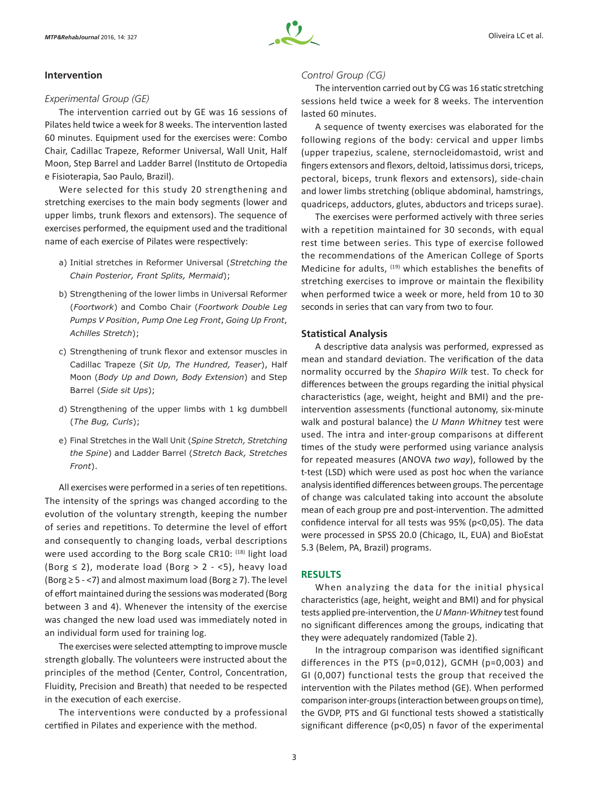## **Intervention**

### *Experimental Group (GE)*

The intervention carried out by GE was 16 sessions of Pilates held twice a week for 8 weeks. The intervention lasted 60 minutes. Equipment used for the exercises were: Combo Chair, Cadillac Trapeze, Reformer Universal, Wall Unit, Half Moon, Step Barrel and Ladder Barrel (Instituto de Ortopedia e Fisioterapia, Sao Paulo, Brazil).

Were selected for this study 20 strengthening and stretching exercises to the main body segments (lower and upper limbs, trunk flexors and extensors). The sequence of exercises performed, the equipment used and the traditional name of each exercise of Pilates were respectively:

- a) Initial stretches in Reformer Universal (*Stretching the Chain Posterior, Front Splits, Mermaid*);
- b) Strengthening of the lower limbs in Universal Reformer (*Foortwork*) and Combo Chair (*Foortwork Double Leg Pumps V Position*, *Pump One Leg Front*, *Going Up Front*, *Achilles Stretch*);
- c) Strengthening of trunk flexor and extensor muscles in Cadillac Trapeze (*Sit Up, The Hundred, Teaser*), Half Moon (*Body Up and Down, Body Extension*) and Step Barrel (*Side sit Ups*);
- d) Strengthening of the upper limbs with 1 kg dumbbell (*The Bug, Curls*);
- e) Final Stretches in the Wall Unit (*Spine Stretch, Stretching the Spine*) and Ladder Barrel (*Stretch Back, Stretches Front*).

All exercises were performed in a series of ten repetitions. The intensity of the springs was changed according to the evolution of the voluntary strength, keeping the number of series and repetitions. To determine the level of effort and consequently to changing loads, verbal descriptions were used according to the Borg scale CR10: (18) light load (Borg  $\leq$  2), moderate load (Borg > 2 - <5), heavy load (Borg  $\geq$  5 - <7) and almost maximum load (Borg  $\geq$  7). The level of effort maintained during the sessions was moderated (Borg between 3 and 4). Whenever the intensity of the exercise was changed the new load used was immediately noted in an individual form used for training log.

The exercises were selected attempting to improve muscle strength globally. The volunteers were instructed about the principles of the method (Center, Control, Concentration, Fluidity, Precision and Breath) that needed to be respected in the execution of each exercise.

The interventions were conducted by a professional certified in Pilates and experience with the method.

## *Control Group (CG)*

The intervention carried out by CG was 16 static stretching sessions held twice a week for 8 weeks. The intervention lasted 60 minutes.

A sequence of twenty exercises was elaborated for the following regions of the body: cervical and upper limbs (upper trapezius, scalene, sternocleidomastoid, wrist and fingers extensors and flexors, deltoid, latissimus dorsi, triceps, pectoral, biceps, trunk flexors and extensors), side-chain and lower limbs stretching (oblique abdominal, hamstrings, quadriceps, adductors, glutes, abductors and triceps surae).

The exercises were performed actively with three series with a repetition maintained for 30 seconds, with equal rest time between series. This type of exercise followed the recommendations of the American College of Sports Medicine for adults, (19) which establishes the benefits of stretching exercises to improve or maintain the flexibility when performed twice a week or more, held from 10 to 30 seconds in series that can vary from two to four.

## **Statistical Analysis**

A descriptive data analysis was performed, expressed as mean and standard deviation. The verification of the data normality occurred by the *Shapiro Wilk* test. To check for differences between the groups regarding the initial physical characteristics (age, weight, height and BMI) and the preintervention assessments (functional autonomy, six-minute walk and postural balance) the *U Mann Whitney* test were used. The intra and inter-group comparisons at different times of the study were performed using variance analysis for repeated measures (ANOVA *two way*), followed by the t-test (LSD) which were used as post hoc when the variance analysis identified differences between groups. The percentage of change was calculated taking into account the absolute mean of each group pre and post-intervention. The admitted confidence interval for all tests was 95% (p<0,05). The data were processed in SPSS 20.0 (Chicago, IL, EUA) and BioEstat 5.3 (Belem, PA, Brazil) programs.

## **RESULTS**

When analyzing the data for the initial physical characteristics (age, height, weight and BMI) and for physical tests applied pre-intervention, the *U Mann-Whitney* test found no significant differences among the groups, indicating that they were adequately randomized (Table 2).

In the intragroup comparison was identified significant differences in the PTS (p=0,012), GCMH (p=0,003) and GI (0,007) functional tests the group that received the intervention with the Pilates method (GE). When performed comparison inter-groups (interaction between groups on time), the GVDP, PTS and GI functional tests showed a statistically significant difference (p<0,05) n favor of the experimental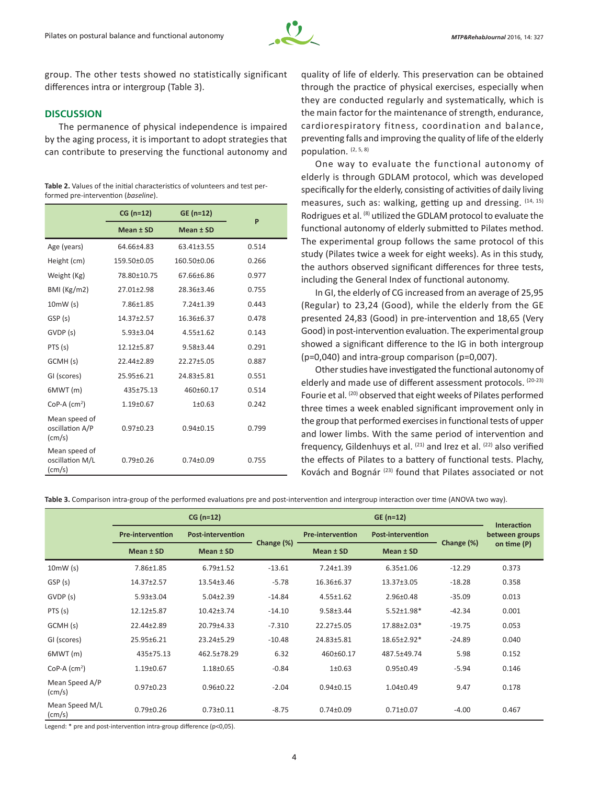

group. The other tests showed no statistically significant differences intra or intergroup (Table 3).

## **DISCUSSION**

The permanence of physical independence is impaired by the aging process, it is important to adopt strategies that can contribute to preserving the functional autonomy and

**Table 2.** Values of the initial characteristics of volunteers and test performed pre-intervention (*baseline*).

|                                                     | $CG (n=12)$     | $GE (n=12)$      | P     |  |
|-----------------------------------------------------|-----------------|------------------|-------|--|
|                                                     | Mean ± SD       | Mean ± SD        |       |  |
| Age (years)                                         | 64.66±4.83      |                  | 0.514 |  |
| Height (cm)                                         | 159.50±0.05     | 160.50±0.06      | 0.266 |  |
| Weight (Kg)                                         | 78.80±10.75     | 67.66±6.86       | 0.977 |  |
| BMI (Kg/m2)                                         | 27.01±2.98      | 28.36±3.46       | 0.755 |  |
| 10mW(s)                                             | 7.86±1.85       | 7.24±1.39        | 0.443 |  |
| GSP (s)                                             | 14.37±2.57      | $16.36 \pm 6.37$ | 0.478 |  |
| GVDP (s)                                            | $5.93 \pm 3.04$ | $4.55 \pm 1.62$  | 0.143 |  |
| PTS (s)                                             | 12.12±5.87      | $9.58 \pm 3.44$  | 0.291 |  |
| GCMH (s)                                            | $22.44 + 2.89$  | $22.27 + 5.05$   | 0.887 |  |
| GI (scores)                                         | 25.95±6.21      | 24.83±5.81       | 0.551 |  |
| 6MWT(m)                                             | 435±75.13       | 460±60.17        | 0.514 |  |
| CoP-A $(cm2)$                                       | $1.19 \pm 0.67$ | 1±0.63           | 0.242 |  |
| Mean speed of<br>oscillation A/P<br>$\text{(cm/s)}$ | $0.97 \pm 0.23$ | $0.94 \pm 0.15$  | 0.799 |  |
| Mean speed of<br>oscillation M/L<br>$\text{(cm/s)}$ | $0.79 \pm 0.26$ | $0.74 \pm 0.09$  | 0.755 |  |

quality of life of elderly. This preservation can be obtained through the practice of physical exercises, especially when they are conducted regularly and systematically, which is the main factor for the maintenance of strength, endurance, cardiorespiratory fitness, coordination and balance, preventing falls and improving the quality of life of the elderly population. (2, 5, 8)

One way to evaluate the functional autonomy of elderly is through GDLAM protocol, which was developed specifically for the elderly, consisting of activities of daily living measures, such as: walking, getting up and dressing. (14, 15) Rodrigues et al. <sup>(8)</sup> utilized the GDLAM protocol to evaluate the functional autonomy of elderly submitted to Pilates method. The experimental group follows the same protocol of this study (Pilates twice a week for eight weeks). As in this study, the authors observed significant differences for three tests, including the General Index of functional autonomy.

In GI, the elderly of CG increased from an average of 25,95 (Regular) to 23,24 (Good), while the elderly from the GE presented 24,83 (Good) in pre-intervention and 18,65 (Very Good) in post-intervention evaluation. The experimental group showed a significant difference to the IG in both intergroup (p=0,040) and intra-group comparison (p=0,007).

Other studies have investigated the functional autonomy of elderly and made use of different assessment protocols. (20-23) Fourie et al. (20) observed that eight weeks of Pilates performed three times a week enabled significant improvement only in the group that performed exercises in functional tests of upper and lower limbs. With the same period of intervention and frequency, Gildenhuys et al.  $(21)$  and Irez et al.  $(22)$  also verified the effects of Pilates to a battery of functional tests. Plachy, Kovách and Bognár<sup>(23)</sup> found that Pilates associated or not

**Table 3.** Comparison intra-group of the performed evaluations pre and post-intervention and intergroup interaction over time (ANOVA two way).

|                                   | $CG (n=12)$             |                          |            | $GE (n=12)$                                         |                  |            | Interaction    |
|-----------------------------------|-------------------------|--------------------------|------------|-----------------------------------------------------|------------------|------------|----------------|
|                                   | <b>Pre-intervention</b> | <b>Post-intervention</b> |            | <b>Pre-intervention</b><br><b>Post-intervention</b> |                  |            | between groups |
|                                   | Mean ± SD               | Mean $±$ SD              | Change (%) | Mean ± SD                                           | Mean ± SD        | Change (%) | on time (P)    |
| 10mW(s)                           | 7.86±1.85               | $6.79 \pm 1.52$          | $-13.61$   | $7.24 \pm 1.39$                                     | $6.35 \pm 1.06$  | $-12.29$   | 0.373          |
| GSP (s)                           | 14.37±2.57              | 13.54±3.46               | $-5.78$    | 16.36±6.37                                          | $13.37 \pm 3.05$ | $-18.28$   | 0.358          |
| GVDP (s)                          | $5.93 \pm 3.04$         | $5.04 \pm 2.39$          | $-14.84$   | $4.55 \pm 1.62$                                     | $2.96 \pm 0.48$  | $-35.09$   | 0.013          |
| PTS(s)                            | 12.12±5.87              | $10.42 \pm 3.74$         | $-14.10$   | $9.58 \pm 3.44$                                     | $5.52 \pm 1.98*$ | $-42.34$   | 0.001          |
| GCMH (s)                          | 22.44±2.89              | 20.79±4.33               | $-7.310$   | 22.27±5.05                                          | 17.88±2.03*      | $-19.75$   | 0.053          |
| GI (scores)                       | 25.95±6.21              | 23.24±5.29               | $-10.48$   | 24.83±5.81                                          | 18.65±2.92*      | $-24.89$   | 0.040          |
| 6MWT(m)                           | 435±75.13               | 462.5±78.29              | 6.32       | 460±60.17                                           | 487.5±49.74      | 5.98       | 0.152          |
| CoP-A $(cm2)$                     | $1.19 \pm 0.67$         | $1.18 \pm 0.65$          | $-0.84$    | $1 \pm 0.63$                                        | $0.95 \pm 0.49$  | $-5.94$    | 0.146          |
| Mean Speed A/P<br>$\text{(cm/s)}$ | $0.97 \pm 0.23$         | $0.96 \pm 0.22$          | $-2.04$    | $0.94 \pm 0.15$                                     | $1.04 \pm 0.49$  | 9.47       | 0.178          |
| Mean Speed M/L<br>$\text{(cm/s)}$ | $0.79 \pm 0.26$         | $0.73 \pm 0.11$          | $-8.75$    | $0.74 \pm 0.09$                                     | $0.71 \pm 0.07$  | $-4.00$    | 0.467          |

Legend: \* pre and post-intervention intra-group difference (p<0,05).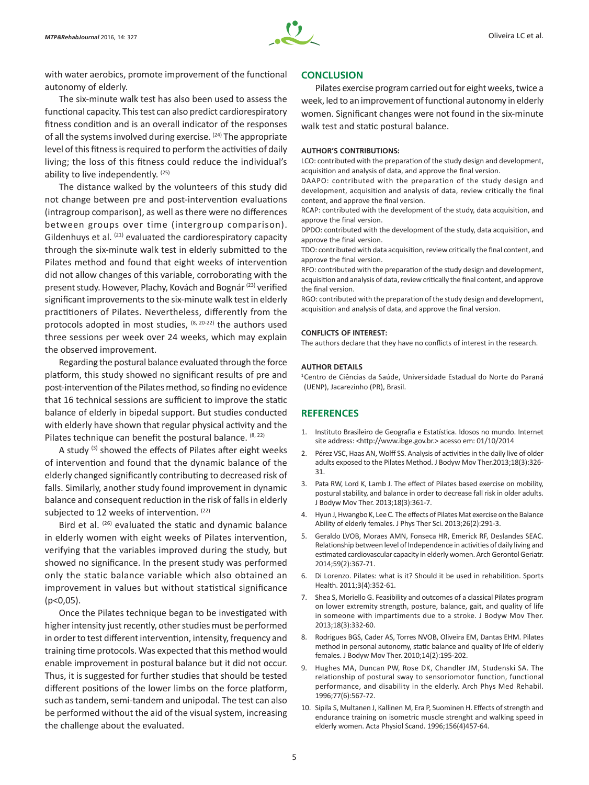

with water aerobics, promote improvement of the functional autonomy of elderly.

## The six-minute walk test has also been used to assess the functional capacity. This test can also predict cardiorespiratory fitness condition and is an overall indicator of the responses of all the systems involved during exercise. <sup>(24)</sup> The appropriate level of this fitness is required to perform the activities of daily living; the loss of this fitness could reduce the individual's ability to live independently. (25)

The distance walked by the volunteers of this study did not change between pre and post-intervention evaluations (intragroup comparison), as well as there were no differences between groups over time (intergroup comparison). Gildenhuys et al.  $(21)$  evaluated the cardiorespiratory capacity through the six-minute walk test in elderly submitted to the Pilates method and found that eight weeks of intervention did not allow changes of this variable, corroborating with the present study. However, Plachy, Kovách and Bognár (23) verified significant improvements to the six-minute walk test in elderly practitioners of Pilates. Nevertheless, differently from the protocols adopted in most studies,  $(8, 20-22)$  the authors used three sessions per week over 24 weeks, which may explain the observed improvement.

Regarding the postural balance evaluated through the force platform, this study showed no significant results of pre and post-intervention of the Pilates method, so finding no evidence that 16 technical sessions are sufficient to improve the static balance of elderly in bipedal support. But studies conducted with elderly have shown that regular physical activity and the Pilates technique can benefit the postural balance.  $(8, 22)$ 

A study (3) showed the effects of Pilates after eight weeks of intervention and found that the dynamic balance of the elderly changed significantly contributing to decreased risk of falls. Similarly, another study found improvement in dynamic balance and consequent reduction in the risk of falls in elderly subjected to 12 weeks of intervention. (22)

Bird et al. (26) evaluated the static and dynamic balance in elderly women with eight weeks of Pilates intervention, verifying that the variables improved during the study, but showed no significance. In the present study was performed only the static balance variable which also obtained an improvement in values but without statistical significance (p<0,05).

Once the Pilates technique began to be investigated with higher intensity just recently, other studies must be performed in order to test different intervention, intensity, frequency and training time protocols. Was expected that this method would enable improvement in postural balance but it did not occur. Thus, it is suggested for further studies that should be tested different positions of the lower limbs on the force platform, such as tandem, semi-tandem and unipodal. The test can also be performed without the aid of the visual system, increasing the challenge about the evaluated.

#### **CONCLUSION**

Pilates exercise program carried out for eight weeks, twice a week, led to an improvement of functional autonomy in elderly women. Significant changes were not found in the six-minute walk test and static postural balance.

#### **AUTHOR'S CONTRIBUTIONS:**

LCO: contributed with the preparation of the study design and development, acquisition and analysis of data, and approve the final version.

DAAPO: contributed with the preparation of the study design and development, acquisition and analysis of data, review critically the final content, and approve the final version.

RCAP: contributed with the development of the study, data acquisition, and approve the final version.

DPDO: contributed with the development of the study, data acquisition, and approve the final version.

TDO: contributed with data acquisition, review critically the final content, and approve the final version.

RFO: contributed with the preparation of the study design and development, acquisition and analysis of data, review critically the final content, and approve the final version.

RGO: contributed with the preparation of the study design and development, acquisition and analysis of data, and approve the final version.

#### **CONFLICTS OF INTEREST:**

The authors declare that they have no conflicts of interest in the research.

#### **AUTHOR DETAILS**

1Centro de Ciências da Saúde, Universidade Estadual do Norte do Paraná (UENP), Jacarezinho (PR), Brasil.

## **REFERENCES**

- 1. Instituto Brasileiro de Geografia e Estatística. Idosos no mundo. Internet site address: <http://www.ibge.gov.br.> acesso em: 01/10/2014
- 2. Pérez VSC, Haas AN, Wolff SS. Analysis of activities in the daily live of older adults exposed to the Pilates Method. J Bodyw Mov Ther.2013;18(3):326- 31.
- 3. Pata RW, Lord K, Lamb J. The effect of Pilates based exercise on mobility, postural stability, and balance in order to decrease fall risk in older adults. J Bodyw Mov Ther. 2013;18(3):361-7.
- 4. Hyun J, Hwangbo K, Lee C. The effects of Pilates Mat exercise on the Balance Ability of elderly females. J Phys Ther Sci. 2013;26(2):291-3.
- 5. Geraldo LVOB, Moraes AMN, Fonseca HR, Emerick RF, Deslandes SEAC. Relationship between level of Independence in activities of daily living and estimated cardiovascular capacity in elderly women. Arch Gerontol Geriatr. 2014;59(2):367-71.
- 6. Di Lorenzo. Pilates: what is it? Should it be used in rehabilition. Sports Health. 2011;3(4):352-61.
- 7. Shea S, Moriello G. Feasibility and outcomes of a classical Pilates program on lower extremity strength, posture, balance, gait, and quality of life in someone with impartiments due to a stroke. J Bodyw Mov Ther. 2013;18(3):332-60.
- 8. Rodrigues BGS, Cader AS, Torres NVOB, Oliveira EM, Dantas EHM. Pilates method in personal autonomy, static balance and quality of life of elderly females. J Bodyw Mov Ther. 2010;14(2):195-202.
- 9. Hughes MA, Duncan PW, Rose DK, Chandler JM, Studenski SA. The relationship of postural sway to sensoriomotor function, functional performance, and disability in the elderly. Arch Phys Med Rehabil. 1996;77(6):567-72.
- 10. Sipila S, Multanen J, Kallinen M, Era P, Suominen H. Effects of strength and endurance training on isometric muscle strenght and walking speed in elderly women. Acta Physiol Scand. 1996;156(4)457-64.